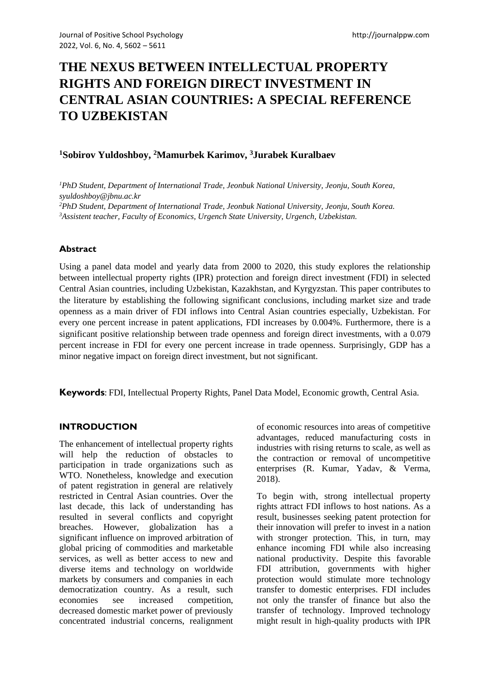# **THE NEXUS BETWEEN INTELLECTUAL PROPERTY RIGHTS AND FOREIGN DIRECT INVESTMENT IN CENTRAL ASIAN COUNTRIES: A SPECIAL REFERENCE TO UZBEKISTAN**

# **<sup>1</sup>Sobirov Yuldoshboy, <sup>2</sup>Mamurbek Karimov, <sup>3</sup>Jurabek Kuralbaev**

*PhD Student, Department of International Trade, Jeonbuk National University, Jeonju, South Korea, syuldoshboy@jbnu.ac.kr PhD Student, Department of International Trade, Jeonbuk National University, Jeonju, South Korea. Assistent teacher, Faculty of Economics, Urgench State University, Urgench, Uzbekistan.*

## **Abstract**

Using a panel data model and yearly data from 2000 to 2020, this study explores the relationship between intellectual property rights (IPR) protection and foreign direct investment (FDI) in selected Central Asian countries, including Uzbekistan, Kazakhstan, and Kyrgyzstan. This paper contributes to the literature by establishing the following significant conclusions, including market size and trade openness as a main driver of FDI inflows into Central Asian countries especially, Uzbekistan. For every one percent increase in patent applications, FDI increases by 0.004%. Furthermore, there is a significant positive relationship between trade openness and foreign direct investments, with a 0.079 percent increase in FDI for every one percent increase in trade openness. Surprisingly, GDP has a minor negative impact on foreign direct investment, but not significant.

**Keywords**: FDI, Intellectual Property Rights, Panel Data Model, Economic growth, Central Asia.

## **INTRODUCTION**

The enhancement of intellectual property rights will help the reduction of obstacles to participation in trade organizations such as WTO. Nonetheless, knowledge and execution of patent registration in general are relatively restricted in Central Asian countries. Over the last decade, this lack of understanding has resulted in several conflicts and copyright breaches. However, globalization has a significant influence on improved arbitration of global pricing of commodities and marketable services, as well as better access to new and diverse items and technology on worldwide markets by consumers and companies in each democratization country. As a result, such economies see increased competition, decreased domestic market power of previously concentrated industrial concerns, realignment of economic resources into areas of competitive advantages, reduced manufacturing costs in industries with rising returns to scale, as well as the contraction or removal of uncompetitive enterprises (R. Kumar, Yadav, & Verma, 2018).

To begin with, strong intellectual property rights attract FDI inflows to host nations. As a result, businesses seeking patent protection for their innovation will prefer to invest in a nation with stronger protection. This, in turn, may enhance incoming FDI while also increasing national productivity. Despite this favorable FDI attribution, governments with higher protection would stimulate more technology transfer to domestic enterprises. FDI includes not only the transfer of finance but also the transfer of technology. Improved technology might result in high-quality products with IPR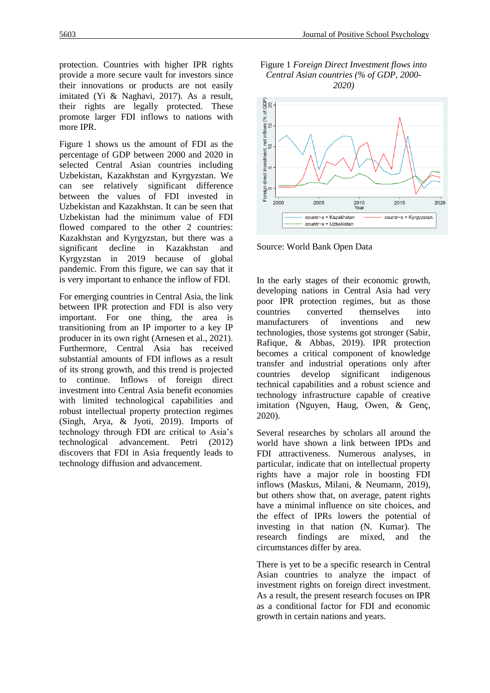protection. Countries with higher IPR rights provide a more secure vault for investors since their innovations or products are not easily imitated (Yi & Naghavi, 2017). As a result, their rights are legally protected. These promote larger FDI inflows to nations with more IPR.

Figure 1 shows us the amount of FDI as the percentage of GDP between 2000 and 2020 in selected Central Asian countries including Uzbekistan, Kazakhstan and Kyrgyzstan. We can see relatively significant difference between the values of FDI invested in Uzbekistan and Kazakhstan. It can be seen that Uzbekistan had the minimum value of FDI flowed compared to the other 2 countries: Kazakhstan and Kyrgyzstan, but there was a significant decline in Kazakhstan and Kyrgyzstan in 2019 because of global pandemic. From this figure, we can say that it is very important to enhance the inflow of FDI.

For emerging countries in Central Asia, the link between IPR protection and FDI is also very important. For one thing, the area is transitioning from an IP importer to a key IP producer in its own right (Arnesen et al., 2021). Furthermore, Central Asia has received substantial amounts of FDI inflows as a result of its strong growth, and this trend is projected to continue. Inflows of foreign direct investment into Central Asia benefit economies with limited technological capabilities and robust intellectual property protection regimes (Singh, Arya, & Jyoti, 2019). Imports of technology through FDI are critical to Asia's technological advancement. Petri (2012) discovers that FDI in Asia frequently leads to technology diffusion and advancement.





Source: World Bank Open Data

In the early stages of their economic growth, developing nations in Central Asia had very poor IPR protection regimes, but as those countries converted themselves into manufacturers of inventions and new technologies, those systems got stronger (Sabir, Rafique, & Abbas, 2019). IPR protection becomes a critical component of knowledge transfer and industrial operations only after countries develop significant indigenous technical capabilities and a robust science and technology infrastructure capable of creative imitation (Nguyen, Haug, Owen, & Genç, 2020).

Several researches by scholars all around the world have shown a link between IPDs and FDI attractiveness. Numerous analyses, in particular, indicate that on intellectual property rights have a major role in boosting FDI inflows (Maskus, Milani, & Neumann, 2019), but others show that, on average, patent rights have a minimal influence on site choices, and the effect of IPRs lowers the potential of investing in that nation (N. Kumar). The research findings are mixed, and the circumstances differ by area.

There is yet to be a specific research in Central Asian countries to analyze the impact of investment rights on foreign direct investment. As a result, the present research focuses on IPR as a conditional factor for FDI and economic growth in certain nations and years.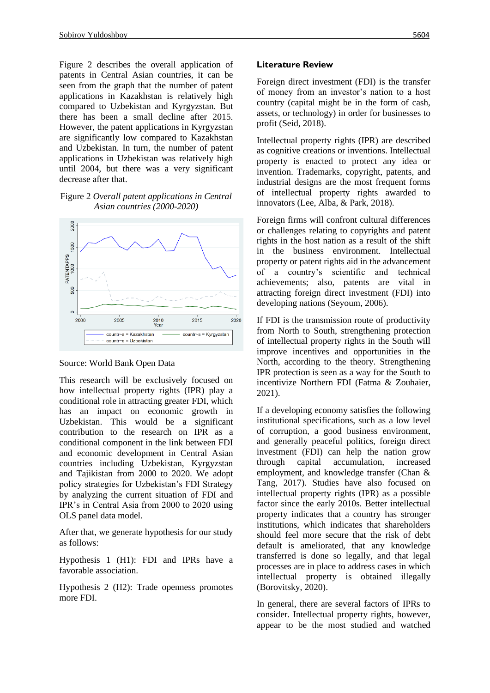Figure 2 describes the overall application of patents in Central Asian countries, it can be seen from the graph that the number of patent applications in Kazakhstan is relatively high compared to Uzbekistan and Kyrgyzstan. But there has been a small decline after 2015. However, the patent applications in Kyrgyzstan are significantly low compared to Kazakhstan and Uzbekistan. In turn, the number of patent applications in Uzbekistan was relatively high until 2004, but there was a very significant decrease after that.

#### Figure 2 *Overall patent applications in Central Asian countries (2000-2020)*



#### Source: World Bank Open Data

This research will be exclusively focused on how intellectual property rights (IPR) play a conditional role in attracting greater FDI, which has an impact on economic growth in Uzbekistan. This would be a significant contribution to the research on IPR as a conditional component in the link between FDI and economic development in Central Asian countries including Uzbekistan, Kyrgyzstan and Tajikistan from 2000 to 2020. We adopt policy strategies for Uzbekistan's FDI Strategy by analyzing the current situation of FDI and IPR's in Central Asia from 2000 to 2020 using OLS panel data model.

After that, we generate hypothesis for our study as follows:

Hypothesis 1 (H1): FDI and IPRs have a favorable association.

Hypothesis 2 (H2): Trade openness promotes more FDI.

#### **Literature Review**

Foreign direct investment (FDI) is the transfer of money from an investor's nation to a host country (capital might be in the form of cash, assets, or technology) in order for businesses to profit (Seid, 2018).

Intellectual property rights (IPR) are described as cognitive creations or inventions. Intellectual property is enacted to protect any idea or invention. Trademarks, copyright, patents, and industrial designs are the most frequent forms of intellectual property rights awarded to innovators (Lee, Alba, & Park, 2018).

Foreign firms will confront cultural differences or challenges relating to copyrights and patent rights in the host nation as a result of the shift in the business environment. Intellectual property or patent rights aid in the advancement of a country's scientific and technical achievements; also, patents are vital in attracting foreign direct investment (FDI) into developing nations (Seyoum, 2006).

If FDI is the transmission route of productivity from North to South, strengthening protection of intellectual property rights in the South will improve incentives and opportunities in the North, according to the theory. Strengthening IPR protection is seen as a way for the South to incentivize Northern FDI (Fatma & Zouhaier, 2021).

If a developing economy satisfies the following institutional specifications, such as a low level of corruption, a good business environment, and generally peaceful politics, foreign direct investment (FDI) can help the nation grow through capital accumulation, increased employment, and knowledge transfer (Chan & Tang, 2017). Studies have also focused on intellectual property rights (IPR) as a possible factor since the early 2010s. Better intellectual property indicates that a country has stronger institutions, which indicates that shareholders should feel more secure that the risk of debt default is ameliorated, that any knowledge transferred is done so legally, and that legal processes are in place to address cases in which intellectual property is obtained illegally (Borovitsky, 2020).

In general, there are several factors of IPRs to consider. Intellectual property rights, however, appear to be the most studied and watched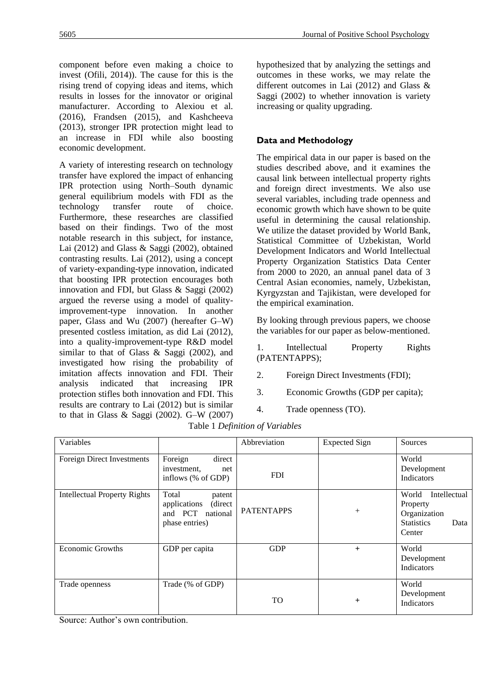component before even making a choice to invest (Ofili, 2014)). The cause for this is the rising trend of copying ideas and items, which results in losses for the innovator or original manufacturer. According to Alexiou et al. (2016), Frandsen (2015), and Kashcheeva (2013), stronger IPR protection might lead to an increase in FDI while also boosting economic development.

A variety of interesting research on technology transfer have explored the impact of enhancing IPR protection using North–South dynamic general equilibrium models with FDI as the technology transfer route of choice. Furthermore, these researches are classified based on their findings. Two of the most notable research in this subject, for instance, Lai (2012) and Glass & Saggi (2002), obtained contrasting results. Lai (2012), using a concept of variety-expanding-type innovation, indicated that boosting IPR protection encourages both innovation and FDI, but Glass & Saggi (2002) argued the reverse using a model of qualityimprovement-type innovation. In another paper, Glass and Wu (2007) (hereafter G–W) presented costless imitation, as did Lai (2012), into a quality-improvement-type R&D model similar to that of Glass & Saggi (2002), and investigated how rising the probability of imitation affects innovation and FDI. Their analysis indicated that increasing IPR protection stifles both innovation and FDI. This results are contrary to Lai (2012) but is similar to that in Glass  $\&$  Saggi (2002). G–W (2007) hypothesized that by analyzing the settings and outcomes in these works, we may relate the different outcomes in Lai (2012) and Glass & Saggi (2002) to whether innovation is variety increasing or quality upgrading.

# **Data and Methodology**

The empirical data in our paper is based on the studies described above, and it examines the causal link between intellectual property rights and foreign direct investments. We also use several variables, including trade openness and economic growth which have shown to be quite useful in determining the causal relationship. We utilize the dataset provided by World Bank, Statistical Committee of Uzbekistan, World Development Indicators and World Intellectual Property Organization Statistics Data Center from 2000 to 2020, an annual panel data of 3 Central Asian economies, namely, Uzbekistan, Kyrgyzstan and Tajikistan, were developed for the empirical examination.

By looking through previous papers, we choose the variables for our paper as below-mentioned.

1. Intellectual Property Rights (PATENTAPPS);

- 2. Foreign Direct Investments (FDI);
- 3. Economic Growths (GDP per capita);
- 4. Trade openness (TO).

| Variables                           |                                                                                  | Abbreviation      | <b>Expected Sign</b> | Sources                                                                                  |
|-------------------------------------|----------------------------------------------------------------------------------|-------------------|----------------------|------------------------------------------------------------------------------------------|
| Foreign Direct Investments          | Foreign<br>direct<br>investment,<br>net<br>inflows (% of GDP)                    | <b>FDI</b>        |                      | World<br>Development<br>Indicators                                                       |
| <b>Intellectual Property Rights</b> | Total<br>patent<br>(direct<br>applications<br>and PCT national<br>phase entries) | <b>PATENTAPPS</b> | $^{+}$               | Intellectual<br>World<br>Property<br>Organization<br><b>Statistics</b><br>Data<br>Center |
| <b>Economic Growths</b>             | GDP per capita                                                                   | <b>GDP</b>        | $+$                  | World<br>Development<br>Indicators                                                       |
| Trade openness                      | Trade (% of GDP)                                                                 | TO                | $+$                  | World<br>Development<br><b>Indicators</b>                                                |

Source: Author's own contribution.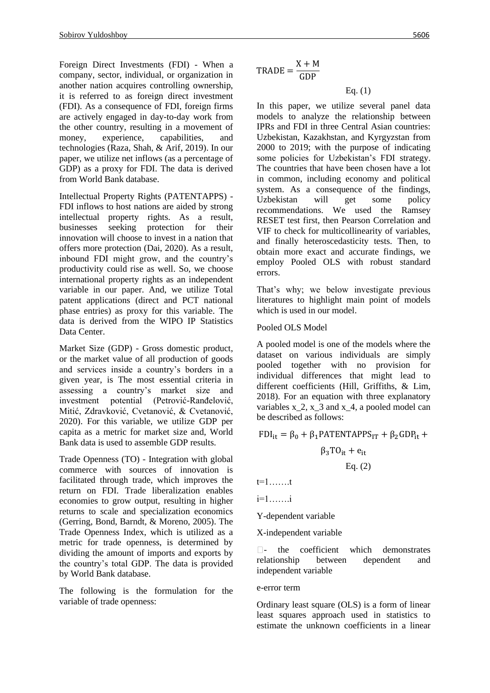Foreign Direct Investments (FDI) - When a company, sector, individual, or organization in another nation acquires controlling ownership, it is referred to as foreign direct investment (FDI). As a consequence of FDI, foreign firms are actively engaged in day-to-day work from the other country, resulting in a movement of money, experience, capabilities, and technologies (Raza, Shah, & Arif, 2019). In our paper, we utilize net inflows (as a percentage of GDP) as a proxy for FDI. The data is derived from World Bank database.

Intellectual Property Rights (PATENTAPPS) - FDI inflows to host nations are aided by strong intellectual property rights. As a result, businesses seeking protection for their innovation will choose to invest in a nation that offers more protection (Dai, 2020). As a result, inbound FDI might grow, and the country's productivity could rise as well. So, we choose international property rights as an independent variable in our paper. And, we utilize Total patent applications (direct and PCT national phase entries) as proxy for this variable. The data is derived from the WIPO IP Statistics Data Center.

Market Size (GDP) - Gross domestic product, or the market value of all production of goods and services inside a country's borders in a given year, is The most essential criteria in assessing a country's market size and investment potential (Petrović-Ranđelović, Mitić, Zdravković, Cvetanović, & Cvetanović, 2020). For this variable, we utilize GDP per capita as a metric for market size and, World Bank data is used to assemble GDP results.

Trade Openness (TO) - Integration with global commerce with sources of innovation is facilitated through trade, which improves the return on FDI. Trade liberalization enables economies to grow output, resulting in higher returns to scale and specialization economics (Gerring, Bond, Barndt, & Moreno, 2005). The Trade Openness Index, which is utilized as a metric for trade openness, is determined by dividing the amount of imports and exports by the country's total GDP. The data is provided by World Bank database.

The following is the formulation for the variable of trade openness:

 $TRADE =$  $X + M$ GDP

## Eq. (1)

In this paper, we utilize several panel data models to analyze the relationship between IPRs and FDI in three Central Asian countries: Uzbekistan, Kazakhstan, and Kyrgyzstan from 2000 to 2019; with the purpose of indicating some policies for Uzbekistan's FDI strategy. The countries that have been chosen have a lot in common, including economy and political system. As a consequence of the findings, Uzbekistan will get some policy recommendations. We used the Ramsey RESET test first, then Pearson Correlation and VIF to check for multicollinearity of variables, and finally heteroscedasticity tests. Then, to obtain more exact and accurate findings, we employ Pooled OLS with robust standard errors.

That's why; we below investigate previous literatures to highlight main point of models which is used in our model.

#### Pooled OLS Model

A pooled model is one of the models where the dataset on various individuals are simply pooled together with no provision for individual differences that might lead to different coefficients (Hill, Griffiths, & Lim, 2018). For an equation with three explanatory variables  $x_2$ ,  $x_3$  and  $x_4$ , a pooled model can be described as follows:

 $FDI_{it} = \beta_0 + \beta_1 PATENTAPPS_{IT} + \beta_2 GDP_{it} +$ 

$$
\beta_3 TO_{it} + e_{it}
$$
  
Eq. (2)

t=1…….t

i=1…….i

Y-dependent variable

X-independent variable

 $\Box$ - the coefficient which demonstrates relationship between dependent and independent variable

#### e-error term

Ordinary least square (OLS) is a form of linear least squares approach used in statistics to estimate the unknown coefficients in a linear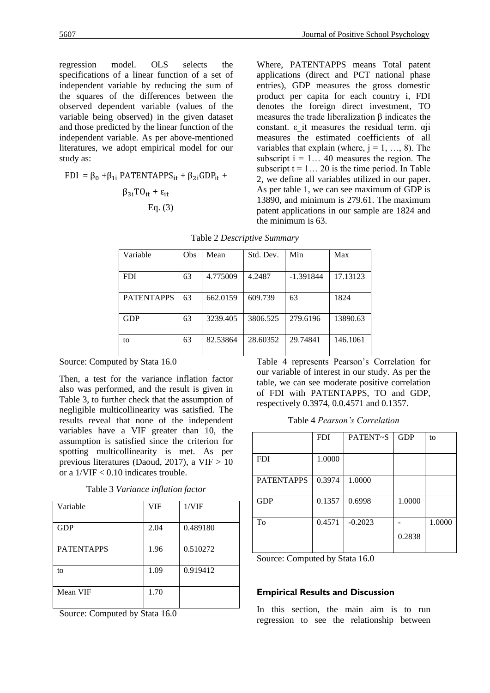regression model. OLS selects the specifications of a linear function of a set of independent variable by reducing the sum of the squares of the differences between the observed dependent variable (values of the variable being observed) in the given dataset and those predicted by the linear function of the independent variable. As per above-mentioned literatures, we adopt empirical model for our study as:

 $FDI = \beta_0 + \beta_{1i}$  PATENTAPPS<sub>it</sub> +  $\beta_{2i}GDP_{it}$  +

$$
\beta_{3i}TO_{it} + \epsilon_{it}
$$
  
Eq. (3)

Where, PATENTAPPS means Total patent applications (direct and PCT national phase entries), GDP measures the gross domestic product per capita for each country i, FDI denotes the foreign direct investment, TO measures the trade liberalization  $\beta$  indicates the constant. ε\_it measures the residual term. αji measures the estimated coefficients of all variables that explain (where,  $j = 1, ..., 8$ ). The subscript  $i = 1... 40$  measures the region. The subscript  $t = 1... 20$  is the time period. In Table 2, we define all variables utilized in our paper. As per table 1, we can see maximum of GDP is 13890, and minimum is 279.61. The maximum patent applications in our sample are 1824 and the minimum is 63.

| Variable          | <b>Obs</b> | Mean     | Std. Dev. | Min         | Max      |
|-------------------|------------|----------|-----------|-------------|----------|
|                   |            |          |           |             |          |
|                   |            |          |           |             |          |
| <b>FDI</b>        | 63         | 4.775009 | 4.2487    | $-1.391844$ | 17.13123 |
|                   |            |          |           |             |          |
|                   |            |          |           |             |          |
| <b>PATENTAPPS</b> | 63         | 662.0159 | 609.739   | 63          | 1824     |
|                   |            |          |           |             |          |
|                   |            |          |           |             |          |
| <b>GDP</b>        | 63         | 3239.405 | 3806.525  | 279.6196    | 13890.63 |
|                   |            |          |           |             |          |
|                   |            |          |           |             |          |
| to                | 63         | 82.53864 | 28.60352  | 29.74841    | 146.1061 |
|                   |            |          |           |             |          |
|                   |            |          |           |             |          |

Table 2 *Descriptive Summary*

Source: Computed by Stata 16.0

Then, a test for the variance inflation factor also was performed, and the result is given in Table 3, to further check that the assumption of negligible multicollinearity was satisfied. The results reveal that none of the independent variables have a VIF greater than 10, the assumption is satisfied since the criterion for spotting multicollinearity is met. As per previous literatures (Daoud, 2017), a VIF > 10 or a 1/VIF < 0.10 indicates trouble.

Table 3 *Variance inflation factor*

| Variable          | VIF  | 1/VIF    |
|-------------------|------|----------|
| <b>GDP</b>        | 2.04 | 0.489180 |
| <b>PATENTAPPS</b> | 1.96 | 0.510272 |
| to                | 1.09 | 0.919412 |
| Mean VIF          | 1.70 |          |

Source: Computed by Stata 16.0

Table 4 represents Pearson's Correlation for our variable of interest in our study. As per the table, we can see moderate positive correlation of FDI with PATENTAPPS, TO and GDP, respectively 0.3974, 0.0.4571 and 0.1357.

Table 4 *Pearson's Correlation*

|                   | <b>FDI</b> | PATENT~S  | <b>GDP</b> | to     |
|-------------------|------------|-----------|------------|--------|
|                   |            |           |            |        |
| <b>FDI</b>        | 1.0000     |           |            |        |
|                   |            |           |            |        |
| <b>PATENTAPPS</b> | 0.3974     | 1.0000    |            |        |
|                   |            |           |            |        |
| <b>GDP</b>        | 0.1357     | 0.6998    | 1.0000     |        |
|                   |            |           |            |        |
| To                | 0.4571     | $-0.2023$ |            | 1.0000 |
|                   |            |           | 0.2838     |        |
|                   |            |           |            |        |

Source: Computed by Stata 16.0

#### **Empirical Results and Discussion**

In this section, the main aim is to run regression to see the relationship between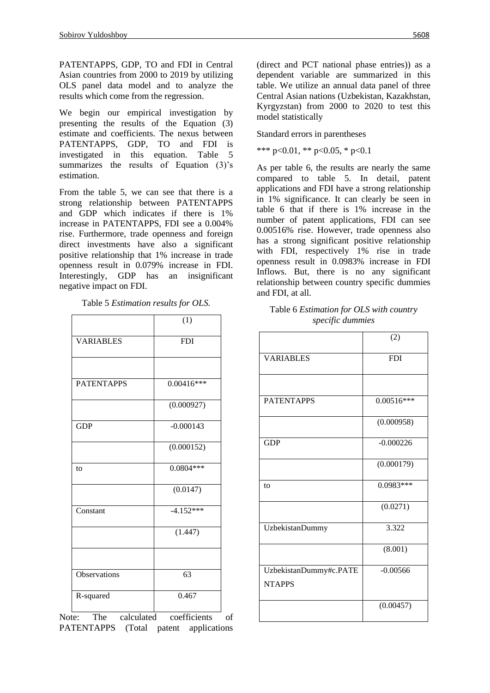PATENTAPPS, GDP, TO and FDI in Central Asian countries from 2000 to 2019 by utilizing OLS panel data model and to analyze the results which come from the regression.

We begin our empirical investigation by presenting the results of the Equation (3) estimate and coefficients. The nexus between PATENTAPPS, GDP, TO and FDI is investigated in this equation. Table 5 summarizes the results of Equation (3)'s estimation.

From the table 5, we can see that there is a strong relationship between PATENTAPPS and GDP which indicates if there is 1% increase in PATENTAPPS, FDI see a 0.004% rise. Furthermore, trade openness and foreign direct investments have also a significant positive relationship that 1% increase in trade openness result in 0.079% increase in FDI. Interestingly, GDP has an insignificant negative impact on FDI.

Table 5 *Estimation results for OLS.*

|                   | (1)          |
|-------------------|--------------|
| <b>VARIABLES</b>  | <b>FDI</b>   |
|                   |              |
| <b>PATENTAPPS</b> | $0.00416***$ |
|                   | (0.000927)   |
| <b>GDP</b>        | $-0.000143$  |
|                   | (0.000152)   |
| to                | $0.0804***$  |
|                   | (0.0147)     |
| Constant          | $-4.152***$  |
|                   | (1.447)      |
|                   |              |
| Observations      | 63           |
| R-squared         | 0.467        |

Note: The calculated coefficients of PATENTAPPS (Total patent applications (direct and PCT national phase entries)) as a dependent variable are summarized in this table. We utilize an annual data panel of three Central Asian nations (Uzbekistan, Kazakhstan, Kyrgyzstan) from 2000 to 2020 to test this model statistically

Standard errors in parentheses

\*\*\* p<0.01, \*\* p<0.05, \* p<0.1

As per table 6, the results are nearly the same compared to table 5. In detail, patent applications and FDI have a strong relationship in 1% significance. It can clearly be seen in table 6 that if there is 1% increase in the number of patent applications, FDI can see 0.00516% rise. However, trade openness also has a strong significant positive relationship with FDI, respectively 1% rise in trade openness result in 0.0983% increase in FDI Inflows. But, there is no any significant relationship between country specific dummies and FDI, at all.

| Table 6 <i>Estimation for OLS with country</i> |
|------------------------------------------------|
| specific dummies                               |

|                                         | (2)          |
|-----------------------------------------|--------------|
| <b>VARIABLES</b>                        | <b>FDI</b>   |
|                                         |              |
| <b>PATENTAPPS</b>                       | $0.00516***$ |
|                                         | (0.000958)   |
| <b>GDP</b>                              | $-0.000226$  |
|                                         | (0.000179)   |
| to                                      | $0.0983***$  |
|                                         | (0.0271)     |
| <b>UzbekistanDummy</b>                  | 3.322        |
|                                         | (8.001)      |
| UzbekistanDummy#c.PATE<br><b>NTAPPS</b> | $-0.00566$   |
|                                         | (0.00457)    |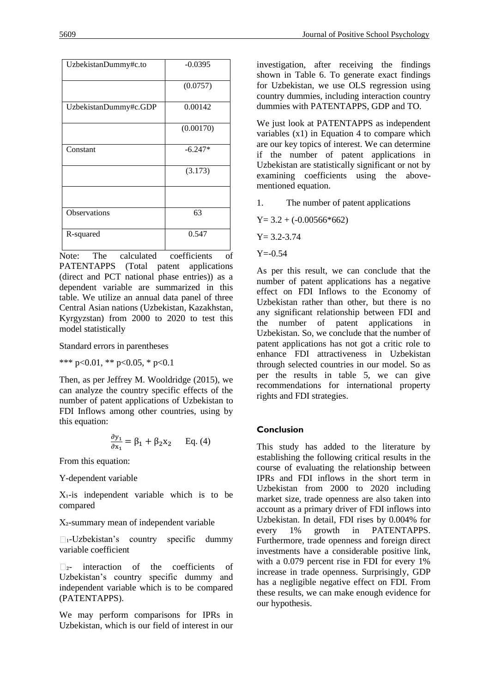| UzbekistanDummy#c.to  | $-0.0395$ |
|-----------------------|-----------|
|                       | (0.0757)  |
| UzbekistanDummy#c.GDP | 0.00142   |
|                       | (0.00170) |
| Constant              | $-6.247*$ |
|                       | (3.173)   |
|                       |           |
| <b>Observations</b>   | 63        |
| R-squared             | 0.547     |

Note: The calculated coefficients of PATENTAPPS (Total patent applications (direct and PCT national phase entries)) as a dependent variable are summarized in this table. We utilize an annual data panel of three Central Asian nations (Uzbekistan, Kazakhstan, Kyrgyzstan) from 2000 to 2020 to test this model statistically

Standard errors in parentheses

\*\*\* p<0.01, \*\* p<0.05, \* p<0.1

Then, as per Jeffrey M. Wooldridge (2015), we can analyze the country specific effects of the number of patent applications of Uzbekistan to FDI Inflows among other countries, using by this equation:

$$
\frac{\partial y_1}{\partial x_1} = \beta_1 + \beta_2 x_2
$$
 Eq. (4)

From this equation:

Y-dependent variable

 $X_1$ -is independent variable which is to be compared

X₂-summary mean of independent variable

 $\Box$ <sub>1</sub>-Uzbekistan's country specific dummy variable coefficient

□2- interaction of the coefficients of Uzbekistan's country specific dummy and independent variable which is to be compared (PATENTAPPS).

We may perform comparisons for IPRs in Uzbekistan, which is our field of interest in our investigation, after receiving the findings shown in Table 6. To generate exact findings for Uzbekistan, we use OLS regression using country dummies, including interaction country dummies with PATENTAPPS, GDP and TO.

We just look at PATENTAPPS as independent variables (x1) in Equation 4 to compare which are our key topics of interest. We can determine if the number of patent applications in Uzbekistan are statistically significant or not by examining coefficients using the abovementioned equation.

1. The number of patent applications

 $Y= 3.2 + (-0.00566*662)$ 

 $Y = 3.2 - 3.74$ 

 $Y = -0.54$ 

As per this result, we can conclude that the number of patent applications has a negative effect on FDI Inflows to the Economy of Uzbekistan rather than other, but there is no any significant relationship between FDI and the number of patent applications in Uzbekistan. So, we conclude that the number of patent applications has not got a critic role to enhance FDI attractiveness in Uzbekistan through selected countries in our model. So as per the results in table 5, we can give recommendations for international property rights and FDI strategies.

#### **Conclusion**

This study has added to the literature by establishing the following critical results in the course of evaluating the relationship between IPRs and FDI inflows in the short term in Uzbekistan from 2000 to 2020 including market size, trade openness are also taken into account as a primary driver of FDI inflows into Uzbekistan. In detail, FDI rises by 0.004% for every 1% growth in PATENTAPPS. Furthermore, trade openness and foreign direct investments have a considerable positive link, with a 0.079 percent rise in FDI for every 1% increase in trade openness. Surprisingly, GDP has a negligible negative effect on FDI. From these results, we can make enough evidence for our hypothesis.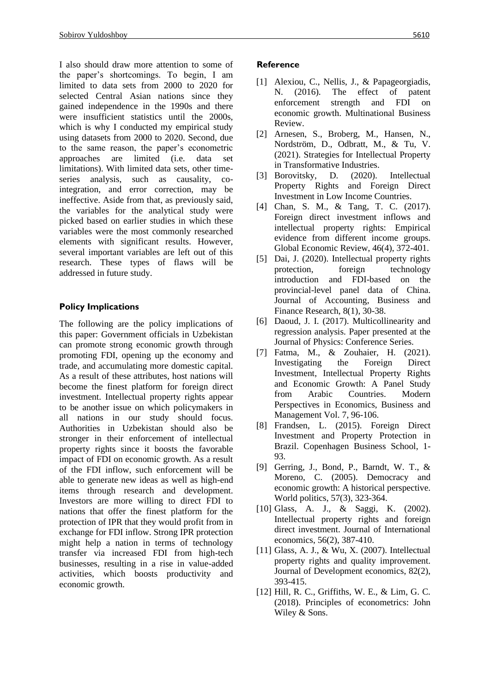I also should draw more attention to some of the paper's shortcomings. To begin, I am limited to data sets from 2000 to 2020 for selected Central Asian nations since they gained independence in the 1990s and there were insufficient statistics until the 2000s, which is why I conducted my empirical study using datasets from 2000 to 2020. Second, due to the same reason, the paper's econometric approaches are limited (i.e. data set limitations). With limited data sets, other timeseries analysis, such as causality, cointegration, and error correction, may be ineffective. Aside from that, as previously said, the variables for the analytical study were picked based on earlier studies in which these variables were the most commonly researched elements with significant results. However, several important variables are left out of this research. These types of flaws will be addressed in future study.

## **Policy Implications**

The following are the policy implications of this paper: Government officials in Uzbekistan can promote strong economic growth through promoting FDI, opening up the economy and trade, and accumulating more domestic capital. As a result of these attributes, host nations will become the finest platform for foreign direct investment. Intellectual property rights appear to be another issue on which policymakers in all nations in our study should focus. Authorities in Uzbekistan should also be stronger in their enforcement of intellectual property rights since it boosts the favorable impact of FDI on economic growth. As a result of the FDI inflow, such enforcement will be able to generate new ideas as well as high-end items through research and development. Investors are more willing to direct FDI to nations that offer the finest platform for the protection of IPR that they would profit from in exchange for FDI inflow. Strong IPR protection might help a nation in terms of technology transfer via increased FDI from high-tech businesses, resulting in a rise in value-added activities, which boosts productivity and economic growth.

#### **Reference**

- [1] Alexiou, C., Nellis, J., & Papageorgiadis, N. (2016). The effect of patent enforcement strength and FDI on economic growth. Multinational Business Review.
- [2] Arnesen, S., Broberg, M., Hansen, N., Nordström, D., Odbratt, M., & Tu, V. (2021). Strategies for Intellectual Property in Transformative Industries.
- [3] Borovitsky, D. (2020). Intellectual Property Rights and Foreign Direct Investment in Low Income Countries.
- [4] Chan, S. M., & Tang, T. C. (2017). Foreign direct investment inflows and intellectual property rights: Empirical evidence from different income groups. Global Economic Review, 46(4), 372-401.
- [5] Dai, J. (2020). Intellectual property rights protection, foreign technology introduction and FDI-based on the provincial-level panel data of China. Journal of Accounting, Business and Finance Research, 8(1), 30-38.
- [6] Daoud, J. I. (2017). Multicollinearity and regression analysis. Paper presented at the Journal of Physics: Conference Series.
- [7] Fatma, M., & Zouhaier, H. (2021). Investigating the Foreign Direct Investment, Intellectual Property Rights and Economic Growth: A Panel Study from Arabic Countries. Modern Perspectives in Economics, Business and Management Vol. 7, 96-106.
- [8] Frandsen, L. (2015). Foreign Direct Investment and Property Protection in Brazil. Copenhagen Business School, 1- 93.
- [9] Gerring, J., Bond, P., Barndt, W. T., & Moreno, C. (2005). Democracy and economic growth: A historical perspective. World politics, 57(3), 323-364.
- [10] Glass, A. J., & Saggi, K. (2002). Intellectual property rights and foreign direct investment. Journal of International economics, 56(2), 387-410.
- [11] Glass, A. J., & Wu, X. (2007). Intellectual property rights and quality improvement. Journal of Development economics, 82(2), 393-415.
- [12] Hill, R. C., Griffiths, W. E., & Lim, G. C. (2018). Principles of econometrics: John Wiley & Sons.